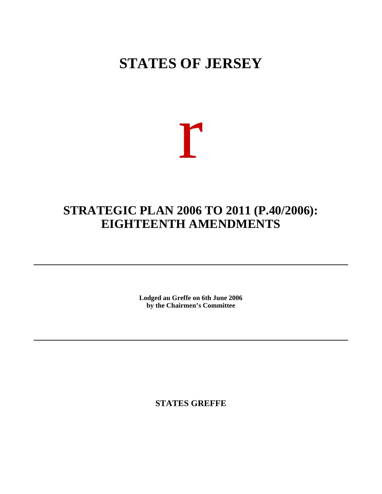# **STATES OF JERSEY**



# **STRATEGIC PLAN 2006 TO 2011 (P.40/2006): EIGHTEENTH AMENDMENTS**

**Lodged au Greffe on 6th June 2006 by the Chairmen's Committee**

**STATES GREFFE**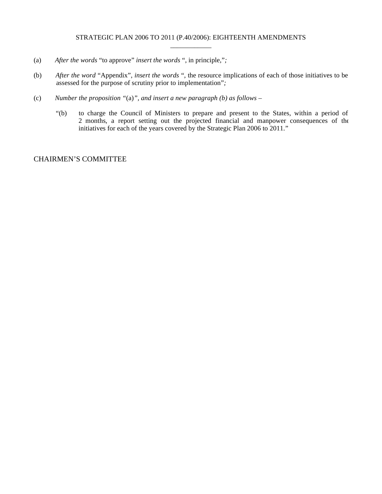- (a) *After the words* "to approve" *insert the words* ", in principle,"*;*
- (b) *After the word* "Appendix"*, insert the words* ", the resource implications of each of those initiatives to be assessed for the purpose of scrutiny prior to implementation"*;*
- (c) *Number the proposition "*(a)*", and insert a new paragraph (b) as follows –*
	- "(b) to charge the Council of Ministers to prepare and present to the States, within a period of 2 months, a report setting out the projected financial and manpower consequences of the initiatives for each of the years covered by the Strategic Plan 2006 to 2011."

## CHAIRMEN'S COMMITTEE